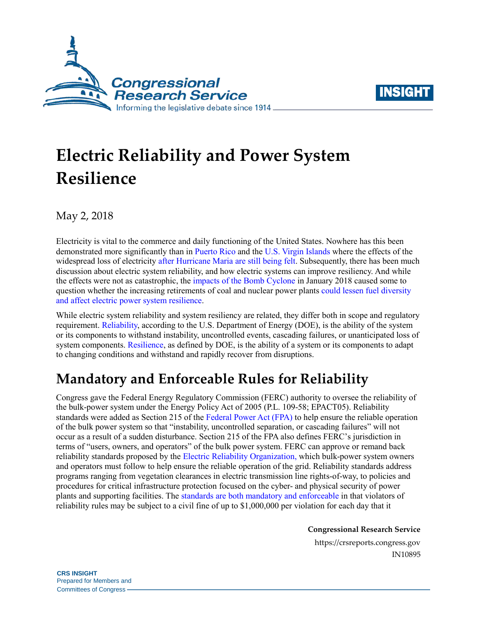



# **Electric Reliability and Power System Resilience**

May 2, 2018

Electricity is vital to the commerce and daily functioning of the United States. Nowhere has this been demonstrated more significantly than in [Puerto Rico](https://crsreports.congress.gov/product/pdf/R/R45023) and the [U.S. Virgin Islands](https://crsreports.congress.gov/product/pdf/R/R45105) where the effects of the widespread loss of electricity [after Hurricane Maria are still being felt.](https://www.eenews.net/energywire/stories/1060078807/search?keyword=puerto+rico) Subsequently, there has been much discussion about electric system reliability, and how electric systems can improve resiliency. And while the effects were not as catastrophic, the impacts of the [Bomb Cyclone](https://www.eia.gov/todayinenergy/detail.php?id=34632) in January 2018 caused some to question whether the increasing retirements of coal and nuclear power plants could lessen [fuel diversity](http://www.world-nuclear-news.org/NP-Diversity-key-to-US-grid-resilience-2509177.html) and affect [electric power system resilience.](http://www.world-nuclear-news.org/NP-Diversity-key-to-US-grid-resilience-2509177.html)

While electric system reliability and system resiliency are related, they differ both in scope and regulatory requirement. [Reliability,](https://www.energy.gov/sites/prod/files/2017/01/f34/Chapter%20IV%20Ensuring%20Electricity%20System%20Reliability%2C%20Security%2C%20and%20Resilience.pdf) according to the U.S. Department of Energy (DOE), is the ability of the system or its components to withstand instability, uncontrolled events, cascading failures, or unanticipated loss of system components. [Resilience,](https://www.energy.gov/sites/prod/files/2017/01/f34/Chapter%20IV%20Ensuring%20Electricity%20System%20Reliability%2C%20Security%2C%20and%20Resilience.pdf) as defined by DOE, is the ability of a system or its components to adapt to changing conditions and withstand and rapidly recover from disruptions.

## **Mandatory and Enforceable Rules for Reliability**

Congress gave the Federal Energy Regulatory Commission (FERC) authority to oversee the reliability of the bulk-power system under the Energy Policy Act of 2005 [\(P.L. 109-58;](http://www.congress.gov/cgi-lis/bdquery/R?d109:FLD002:@1(109+58)) EPACT05). Reliability standards were added as Section 215 of the [Federal Power Act \(FPA\)](http://uscode.house.gov/view.xhtml?req=(title:16%20section:824%20edition:prelim)%20OR%20(granuleid:USC-prelim-title16-section824)&f=treesort&edition=prelim&num=0&jumpTo=true) to help ensure the reliable operation of the bulk power system so that "instability, uncontrolled separation, or cascading failures" will not occur as a result of a sudden disturbance. Section 215 of the FPA also defines FERC's jurisdiction in terms of "users, owners, and operators" of the bulk power system. FERC can approve or remand back reliability standards proposed by the [Electric Reliability Organization,](http://www.eei.org/issuesandpolicy/electricreliability/Pages/default.aspx) which bulk-power system owners and operators must follow to help ensure the reliable operation of the grid. Reliability standards address programs ranging from vegetation clearances in electric transmission line rights-of-way, to policies and procedures for critical infrastructure protection focused on the cyber- and physical security of power plants and supporting facilities. The [standards are both mandatory and enforceable](http://www.nerc.net/standardsreports/standardssummary.aspx) in that violators of reliability rules may be subject to a civil fine of up to \$1,000,000 per violation for each day that it

**Congressional Research Service**

https://crsreports.congress.gov IN10895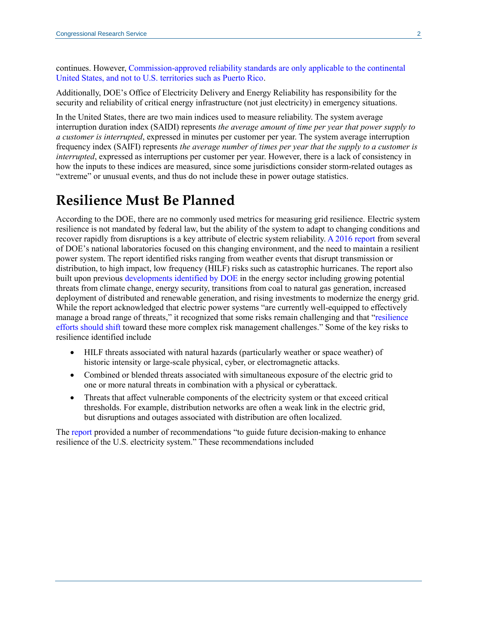continues. However, [Commission-approved reliability standards are only applicable to the continental](https://www.ferc.gov/whats-new/comm-meet/2015/021915/E-16.pdf)  [United States, and not to U.S. territories such as Puerto Rico.](https://www.ferc.gov/whats-new/comm-meet/2015/021915/E-16.pdf)

Additionally, DOE's Office of Electricity Delivery and Energy Reliability has responsibility for the security and reliability of critical energy infrastructure (not just electricity) in emergency situations.

In the United States, there are two main indices used to measure reliability. The system average interruption duration index (SAIDI) represents *the average amount of time per year that power supply to a customer is interrupted*, expressed in minutes per customer per year. The system average interruption frequency index (SAIFI) represents *the average number of times per year that the supply to a customer is interrupted*, expressed as interruptions per customer per year. However, there is a lack of consistency in how the inputs to these indices are measured, since some jurisdictions consider storm-related outages as "extreme" or unusual events, and thus do not include these in power outage statistics.

## **Resilience Must Be Planned**

According to the DOE, there are no commonly used metrics for measuring grid resilience. Electric system resilience is not mandated by federal law, but the ability of the system to adapt to changing conditions and recover rapidly from disruptions is a key attribute of electric system reliability. [A 2016 report](https://www.energy.gov/sites/prod/files/2017/01/f34/Resilience%20of%20the%20U.S.%20Electricity%20System%20A%20Multi-Hazard%20Perspective.pdf) from several of DOE's national laboratories focused on this changing environment, and the need to maintain a resilient power system. The report identified risks ranging from weather events that disrupt transmission or distribution, to high impact, low frequency (HILF) risks such as catastrophic hurricanes. The report also built upon previous [developments identified by DOE](https://www.energy.gov/policy/initiatives/quadrennial-energy-review-qer) in the energy sector including growing potential threats from climate change, energy security, transitions from coal to natural gas generation, increased deployment of distributed and renewable generation, and rising investments to modernize the energy grid. While the report acknowledged that electric power systems "are currently well-equipped to effectively manage a broad range of threats," it recognized that some risks remain challenging and that ["resilience](https://www.energy.gov/sites/prod/files/2017/01/f34/Resilience%20of%20the%20U.S.%20Electricity%20System%20A%20Multi-Hazard%20Perspective.pdf)  [efforts should shift](https://www.energy.gov/sites/prod/files/2017/01/f34/Resilience%20of%20the%20U.S.%20Electricity%20System%20A%20Multi-Hazard%20Perspective.pdf) toward these more complex risk management challenges." Some of the key risks to resilience identified include

- HILF threats associated with natural hazards (particularly weather or space weather) of historic intensity or large-scale physical, cyber, or electromagnetic attacks.
- Combined or blended threats associated with simultaneous exposure of the electric grid to one or more natural threats in combination with a physical or cyberattack.
- Threats that affect vulnerable components of the electricity system or that exceed critical thresholds. For example, distribution networks are often a weak link in the electric grid, but disruptions and outages associated with distribution are often localized.

The [report](https://www.energy.gov/sites/prod/files/2017/01/f34/Resilience%20of%20the%20U.S.%20Electricity%20System%20A%20Multi-Hazard%20Perspective.pdf) provided a number of recommendations "to guide future decision-making to enhance resilience of the U.S. electricity system." These recommendations included